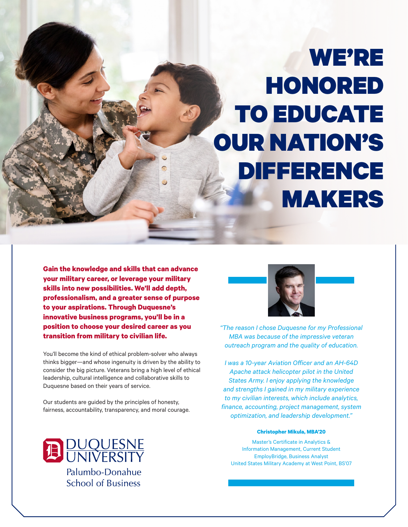# WE'RE HONORED TO EDUCATE OUR NATION'S DIFFERENCE MAKERS

**Gain the knowledge and skills that can advance your military career, or leverage your military skills into new possibilities. We'll add depth, professionalism, and a greater sense of purpose to your aspirations. Through Duquesne's innovative business programs, you'll be in a position to choose your desired career as you transition from military to civilian life.**

You'll become the kind of ethical problem-solver who always thinks bigger—and whose ingenuity is driven by the ability to consider the big picture. Veterans bring a high level of ethical leadership, cultural intelligence and collaborative skills to Duquesne based on their years of service.

Our students are guided by the principles of honesty, fairness, accountability, transparency, and moral courage.





*"The reason I chose Duquesne for my Professional MBA was because of the impressive veteran outreach program and the quality of education.* 

*I was a 10-year Aviation Officer and an AH-64D Apache attack helicopter pilot in the United States Army. I enjoy applying the knowledge and strengths I gained in my military experience to my civilian interests, which include analytics, finance, accounting, project management, system optimization, and leadership development."*

#### **Christopher Mikula, MBA'20**

Master's Certificate in Analytics & Information Management, Current Student EmployBridge, Business Analyst United States Military Academy at West Point, BS'07